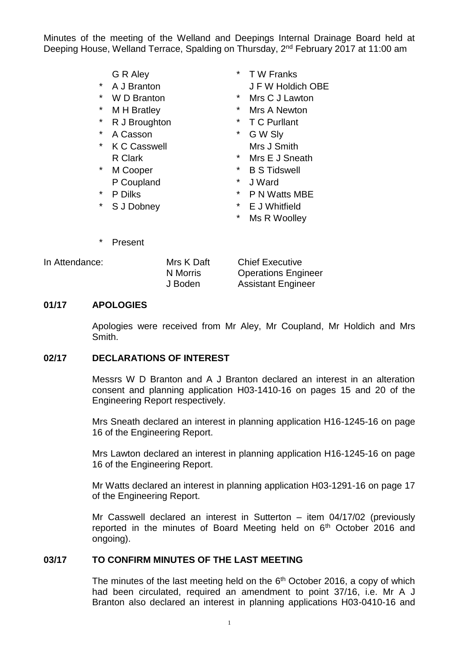Minutes of the meeting of the Welland and Deepings Internal Drainage Board held at Deeping House, Welland Terrace, Spalding on Thursday, 2nd February 2017 at 11:00 am

- 
- 
- 
- 
- 
- \* A Casson \* G W Sly
- K C Casswell Mrs J Smith
- \* M Cooper \* B S Tidswell P Coupland  $\bullet$   $\bullet$  J Ward
- 
- \* S J Dobney \* E J Whitfield
- G R Aley  $*$  T W Franks \* A J Branton J F W Holdich OBE
- \* W D Branton \* Mrs C J Lawton
- \* M H Bratley \* Mrs A Newton
	- R J Broughton  $*$  T C Purllant
		-
	- R Clark \* Mrs F J Sneath
		-
		-
- \* P Dilks \* P N Watts MBE
	-
	- \* Ms R Woolley

\* Present

In Attendance: Mrs K Daft Chief Executive N Morris Operations Engineer J Boden Assistant Engineer

#### **01/17 APOLOGIES**

Apologies were received from Mr Aley, Mr Coupland, Mr Holdich and Mrs Smith.

#### **02/17 DECLARATIONS OF INTEREST**

Messrs W D Branton and A J Branton declared an interest in an alteration consent and planning application H03-1410-16 on pages 15 and 20 of the Engineering Report respectively.

Mrs Sneath declared an interest in planning application H16-1245-16 on page 16 of the Engineering Report.

Mrs Lawton declared an interest in planning application H16-1245-16 on page 16 of the Engineering Report.

Mr Watts declared an interest in planning application H03-1291-16 on page 17 of the Engineering Report.

Mr Casswell declared an interest in Sutterton – item 04/17/02 (previously reported in the minutes of Board Meeting held on 6<sup>th</sup> October 2016 and ongoing).

## **03/17 TO CONFIRM MINUTES OF THE LAST MEETING**

The minutes of the last meeting held on the  $6<sup>th</sup>$  October 2016, a copy of which had been circulated, required an amendment to point 37/16, i.e. Mr A J Branton also declared an interest in planning applications H03-0410-16 and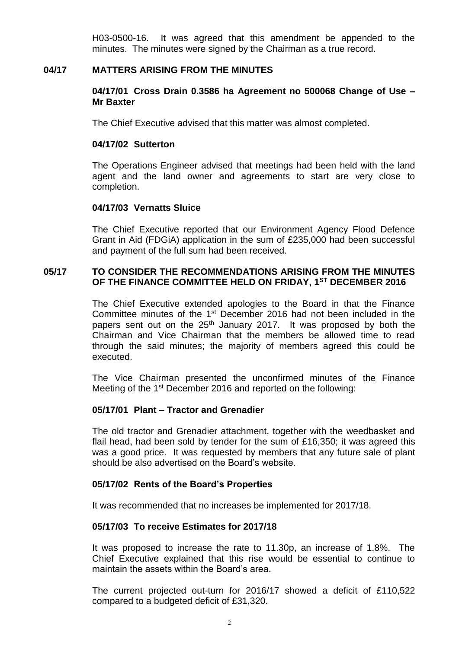H03-0500-16. It was agreed that this amendment be appended to the minutes. The minutes were signed by the Chairman as a true record.

#### **04/17 MATTERS ARISING FROM THE MINUTES**

#### **04/17/01 Cross Drain 0.3586 ha Agreement no 500068 Change of Use – Mr Baxter**

The Chief Executive advised that this matter was almost completed.

#### **04/17/02 Sutterton**

The Operations Engineer advised that meetings had been held with the land agent and the land owner and agreements to start are very close to completion.

#### **04/17/03 Vernatts Sluice**

The Chief Executive reported that our Environment Agency Flood Defence Grant in Aid (FDGiA) application in the sum of £235,000 had been successful and payment of the full sum had been received.

#### **05/17 TO CONSIDER THE RECOMMENDATIONS ARISING FROM THE MINUTES OF THE FINANCE COMMITTEE HELD ON FRIDAY, 1 ST DECEMBER 2016**

The Chief Executive extended apologies to the Board in that the Finance Committee minutes of the 1st December 2016 had not been included in the papers sent out on the 25<sup>th</sup> January 2017. It was proposed by both the Chairman and Vice Chairman that the members be allowed time to read through the said minutes; the majority of members agreed this could be executed.

The Vice Chairman presented the unconfirmed minutes of the Finance Meeting of the 1<sup>st</sup> December 2016 and reported on the following:

## **05/17/01 Plant – Tractor and Grenadier**

The old tractor and Grenadier attachment, together with the weedbasket and flail head, had been sold by tender for the sum of £16,350; it was agreed this was a good price. It was requested by members that any future sale of plant should be also advertised on the Board's website.

#### **05/17/02 Rents of the Board's Properties**

It was recommended that no increases be implemented for 2017/18.

## **05/17/03 To receive Estimates for 2017/18**

It was proposed to increase the rate to 11.30p, an increase of 1.8%. The Chief Executive explained that this rise would be essential to continue to maintain the assets within the Board's area.

The current projected out-turn for 2016/17 showed a deficit of £110,522 compared to a budgeted deficit of £31,320.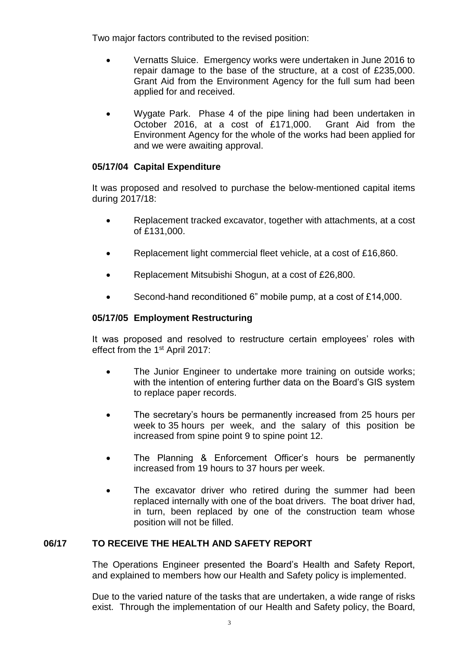Two major factors contributed to the revised position:

- Vernatts Sluice. Emergency works were undertaken in June 2016 to repair damage to the base of the structure, at a cost of £235,000. Grant Aid from the Environment Agency for the full sum had been applied for and received.
- Wygate Park. Phase 4 of the pipe lining had been undertaken in October 2016, at a cost of £171,000. Grant Aid from the Environment Agency for the whole of the works had been applied for and we were awaiting approval.

# **05/17/04 Capital Expenditure**

It was proposed and resolved to purchase the below-mentioned capital items during 2017/18:

- Replacement tracked excavator, together with attachments, at a cost of £131,000.
- Replacement light commercial fleet vehicle, at a cost of £16,860.
- Replacement Mitsubishi Shogun, at a cost of £26,800.
- Second-hand reconditioned 6" mobile pump, at a cost of £14,000.

# **05/17/05 Employment Restructuring**

It was proposed and resolved to restructure certain employees' roles with effect from the 1<sup>st</sup> April 2017:

- The Junior Engineer to undertake more training on outside works; with the intention of entering further data on the Board's GIS system to replace paper records.
- The secretary's hours be permanently increased from 25 hours per week to 35 hours per week, and the salary of this position be increased from spine point 9 to spine point 12.
- The Planning & Enforcement Officer's hours be permanently increased from 19 hours to 37 hours per week.
- The excavator driver who retired during the summer had been replaced internally with one of the boat drivers. The boat driver had, in turn, been replaced by one of the construction team whose position will not be filled.

# **06/17 TO RECEIVE THE HEALTH AND SAFETY REPORT**

The Operations Engineer presented the Board's Health and Safety Report, and explained to members how our Health and Safety policy is implemented.

Due to the varied nature of the tasks that are undertaken, a wide range of risks exist. Through the implementation of our Health and Safety policy, the Board,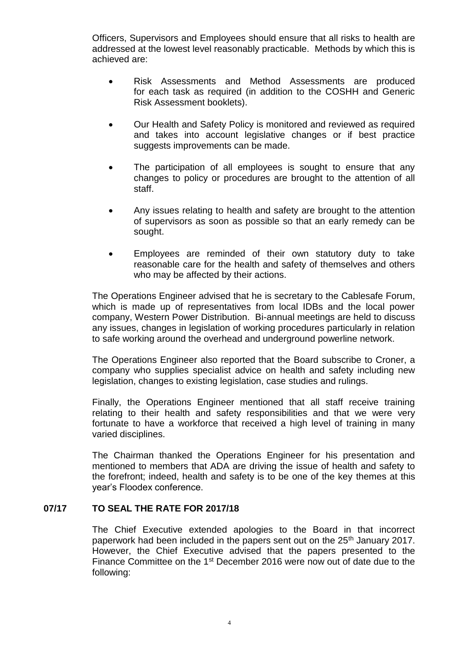Officers, Supervisors and Employees should ensure that all risks to health are addressed at the lowest level reasonably practicable. Methods by which this is achieved are:

- Risk Assessments and Method Assessments are produced for each task as required (in addition to the COSHH and Generic Risk Assessment booklets).
- Our Health and Safety Policy is monitored and reviewed as required and takes into account legislative changes or if best practice suggests improvements can be made.
- The participation of all employees is sought to ensure that any changes to policy or procedures are brought to the attention of all staff.
- Any issues relating to health and safety are brought to the attention of supervisors as soon as possible so that an early remedy can be sought.
- Employees are reminded of their own statutory duty to take reasonable care for the health and safety of themselves and others who may be affected by their actions.

The Operations Engineer advised that he is secretary to the Cablesafe Forum, which is made up of representatives from local IDBs and the local power company, Western Power Distribution. Bi-annual meetings are held to discuss any issues, changes in legislation of working procedures particularly in relation to safe working around the overhead and underground powerline network.

The Operations Engineer also reported that the Board subscribe to Croner, a company who supplies specialist advice on health and safety including new legislation, changes to existing legislation, case studies and rulings.

Finally, the Operations Engineer mentioned that all staff receive training relating to their health and safety responsibilities and that we were very fortunate to have a workforce that received a high level of training in many varied disciplines.

The Chairman thanked the Operations Engineer for his presentation and mentioned to members that ADA are driving the issue of health and safety to the forefront; indeed, health and safety is to be one of the key themes at this year's Floodex conference.

## **07/17 TO SEAL THE RATE FOR 2017/18**

The Chief Executive extended apologies to the Board in that incorrect paperwork had been included in the papers sent out on the 25<sup>th</sup> January 2017. However, the Chief Executive advised that the papers presented to the Finance Committee on the 1<sup>st</sup> December 2016 were now out of date due to the following: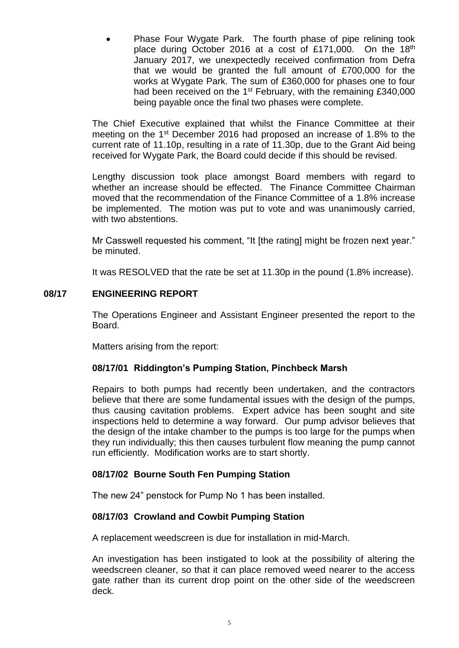Phase Four Wygate Park. The fourth phase of pipe relining took place during October 2016 at a cost of £171,000. On the 18<sup>th</sup> January 2017, we unexpectedly received confirmation from Defra that we would be granted the full amount of £700,000 for the works at Wygate Park. The sum of £360,000 for phases one to four had been received on the 1<sup>st</sup> February, with the remaining £340,000 being payable once the final two phases were complete.

The Chief Executive explained that whilst the Finance Committee at their meeting on the 1st December 2016 had proposed an increase of 1.8% to the current rate of 11.10p, resulting in a rate of 11.30p, due to the Grant Aid being received for Wygate Park, the Board could decide if this should be revised.

Lengthy discussion took place amongst Board members with regard to whether an increase should be effected. The Finance Committee Chairman moved that the recommendation of the Finance Committee of a 1.8% increase be implemented. The motion was put to vote and was unanimously carried, with two abstentions.

Mr Casswell requested his comment, "It [the rating] might be frozen next year." be minuted.

It was RESOLVED that the rate be set at 11.30p in the pound (1.8% increase).

# **08/17 ENGINEERING REPORT**

The Operations Engineer and Assistant Engineer presented the report to the Board.

Matters arising from the report:

# **08/17/01 Riddington's Pumping Station, Pinchbeck Marsh**

Repairs to both pumps had recently been undertaken, and the contractors believe that there are some fundamental issues with the design of the pumps, thus causing cavitation problems. Expert advice has been sought and site inspections held to determine a way forward. Our pump advisor believes that the design of the intake chamber to the pumps is too large for the pumps when they run individually; this then causes turbulent flow meaning the pump cannot run efficiently. Modification works are to start shortly.

# **08/17/02 Bourne South Fen Pumping Station**

The new 24" penstock for Pump No 1 has been installed.

# **08/17/03 Crowland and Cowbit Pumping Station**

A replacement weedscreen is due for installation in mid-March.

An investigation has been instigated to look at the possibility of altering the weedscreen cleaner, so that it can place removed weed nearer to the access gate rather than its current drop point on the other side of the weedscreen deck.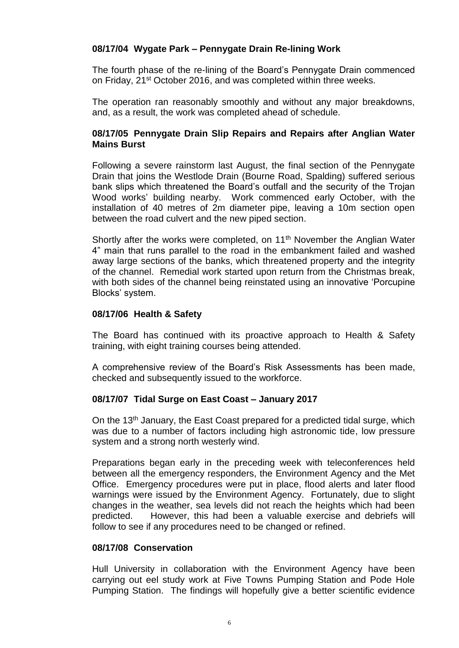# **08/17/04 Wygate Park – Pennygate Drain Re-lining Work**

The fourth phase of the re-lining of the Board's Pennygate Drain commenced on Friday, 21st October 2016, and was completed within three weeks.

The operation ran reasonably smoothly and without any major breakdowns, and, as a result, the work was completed ahead of schedule.

## **08/17/05 Pennygate Drain Slip Repairs and Repairs after Anglian Water Mains Burst**

Following a severe rainstorm last August, the final section of the Pennygate Drain that joins the Westlode Drain (Bourne Road, Spalding) suffered serious bank slips which threatened the Board's outfall and the security of the Trojan Wood works' building nearby. Work commenced early October, with the installation of 40 metres of 2m diameter pipe, leaving a 10m section open between the road culvert and the new piped section.

Shortly after the works were completed, on 11<sup>th</sup> November the Anglian Water 4" main that runs parallel to the road in the embankment failed and washed away large sections of the banks, which threatened property and the integrity of the channel. Remedial work started upon return from the Christmas break, with both sides of the channel being reinstated using an innovative 'Porcupine Blocks' system.

## **08/17/06 Health & Safety**

The Board has continued with its proactive approach to Health & Safety training, with eight training courses being attended.

A comprehensive review of the Board's Risk Assessments has been made, checked and subsequently issued to the workforce.

## **08/17/07 Tidal Surge on East Coast – January 2017**

On the 13<sup>th</sup> January, the East Coast prepared for a predicted tidal surge, which was due to a number of factors including high astronomic tide, low pressure system and a strong north westerly wind.

Preparations began early in the preceding week with teleconferences held between all the emergency responders, the Environment Agency and the Met Office. Emergency procedures were put in place, flood alerts and later flood warnings were issued by the Environment Agency. Fortunately, due to slight changes in the weather, sea levels did not reach the heights which had been predicted. However, this had been a valuable exercise and debriefs will follow to see if any procedures need to be changed or refined.

## **08/17/08 Conservation**

Hull University in collaboration with the Environment Agency have been carrying out eel study work at Five Towns Pumping Station and Pode Hole Pumping Station. The findings will hopefully give a better scientific evidence